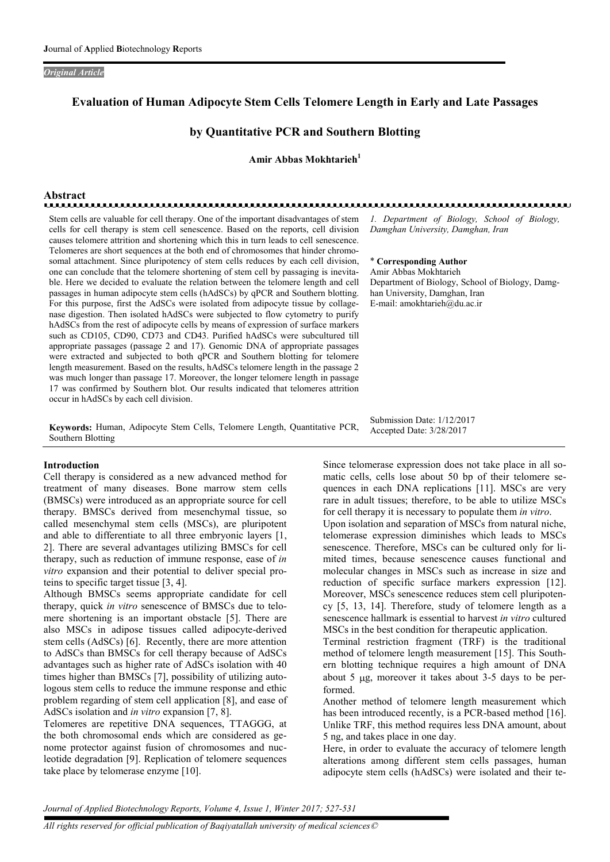#### *Original Article*

## Evaluation of Human Adipocyte Stem Cells Telomere Length in Early and Late Passages

## by Quantitative PCR and Southern Blotting

Amir Abbas Mokhtarieh<sup>1</sup>

# Abstract

Stem cells are valuable for cell therapy. One of the important disadvantages of stem cells for cell therapy is stem cell senescence. Based on the reports, cell division causes telomere attrition and shortening which this in turn leads to cell senescence. Telomeres are short sequences at the both end of chromosomes that hinder chromosomal attachment. Since pluripotency of stem cells reduces by each cell division, one can conclude that the telomere shortening of stem cell by passaging is inevitable. Here we decided to evaluate the relation between the telomere length and cell passages in human adipocyte stem cells (hAdSCs) by qPCR and Southern blotting. For this purpose, first the AdSCs were isolated from adipocyte tissue by collagenase digestion. Then isolated hAdSCs were subjected to flow cytometry to purify hAdSCs from the rest of adipocyte cells by means of expression of surface markers such as CD105, CD90, CD73 and CD43. Purified hAdSCs were subcultured till appropriate passages (passage 2 and 17). Genomic DNA of appropriate passages were extracted and subjected to both qPCR and Southern blotting for telomere length measurement. Based on the results, hAdSCs telomere length in the passage 2 was much longer than passage 17. Moreover, the longer telomere length in passage 17 was confirmed by Southern blot. Our results indicated that telomeres attrition occur in hAdSCs by each cell division.

Keywords: Human, Adipocyte Stem Cells, Telomere Length, Quantitative PCR, Southern Blotting

#### Introduction

Cell therapy is considered as a new advanced method for treatment of many diseases. Bone marrow stem cells (BMSCs) were introduced as an appropriate source for cell therapy. BMSCs derived from mesenchymal tissue, so called mesenchymal stem cells (MSCs), are pluripotent and able to differentiate to all three embryonic layers [1, 2]. There are several advantages utilizing BMSCs for cell therapy, such as reduction of immune response, ease of *in vitro* expansion and their potential to deliver special proteins to specific target tissue [3, 4].

Although BMSCs seems appropriate candidate for cell therapy, quick *in vitro* senescence of BMSCs due to telomere shortening is an important obstacle [5]. There are also MSCs in adipose tissues called adipocyte-derived stem cells (AdSCs) [6]. Recently, there are more attention to AdSCs than BMSCs for cell therapy because of AdSCs advantages such as higher rate of AdSCs isolation with 40 times higher than BMSCs [7], possibility of utilizing autologous stem cells to reduce the immune response and ethic problem regarding of stem cell application [8], and ease of AdSCs isolation and *in vitro* expansion [7, 8].

Telomeres are repetitive DNA sequences, TTAGGG, at the both chromosomal ends which are considered as genome protector against fusion of chromosomes and nucleotide degradation [9]. Replication of telomere sequences take place by telomerase enzyme [10].

*1. Department of Biology, School of Biology, Damghan University, Damghan, Iran*

#### \* Corresponding Author

Amir Abbas Mokhtarieh Department of Biology, School of Biology, Damghan University, Damghan, Iran E-mail: amokhtarieh@du.ac.ir

Submission Date: 1/12/2017 Accepted Date: 3/28/2017

Since telomerase expression does not take place in all somatic cells, cells lose about 50 bp of their telomere sequences in each DNA replications [11]. MSCs are very rare in adult tissues; therefore, to be able to utilize MSCs for cell therapy it is necessary to populate them *in vitro*.

Upon isolation and separation of MSCs from natural niche, telomerase expression diminishes which leads to MSCs senescence. Therefore, MSCs can be cultured only for limited times, because senescence causes functional and molecular changes in MSCs such as increase in size and reduction of specific surface markers expression [12]. Moreover, MSCs senescence reduces stem cell pluripotency [5, 13, 14]. Therefore, study of telomere length as a senescence hallmark is essential to harvest *in vitro* cultured MSCs in the best condition for therapeutic application.

Terminal restriction fragment (TRF) is the traditional method of telomere length measurement [15]. This Southern blotting technique requires a high amount of DNA about 5  $\mu$ g, moreover it takes about 3-5 days to be performed.

Another method of telomere length measurement which has been introduced recently, is a PCR-based method [16]. Unlike TRF, this method requires less DNA amount, about 5 ng, and takes place in one day.

Here, in order to evaluate the accuracy of telomere length alterations among different stem cells passages, human adipocyte stem cells (hAdSCs) were isolated and their te-

*Journal of Applied Biotechnology Reports, Volume 4, Issue 1, Winter 2017; 527-531*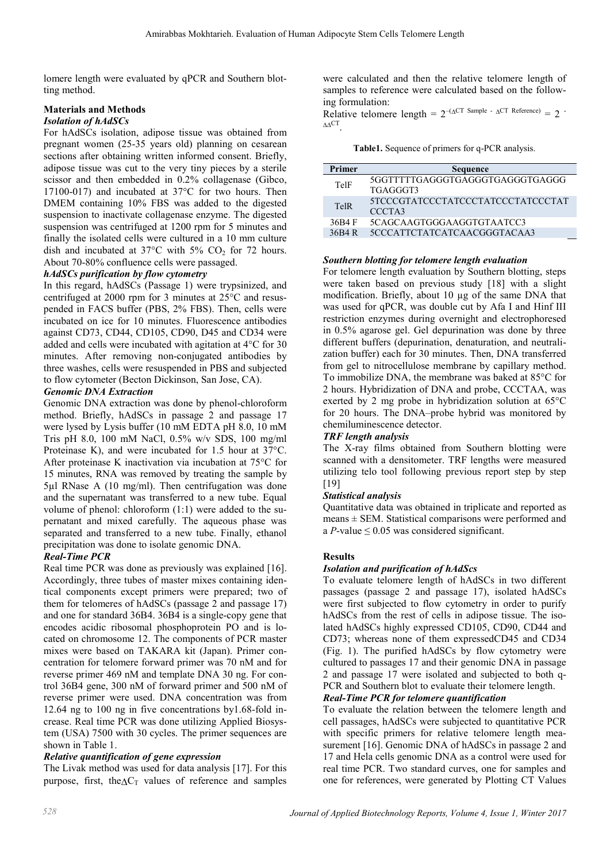lomere length were evaluated by qPCR and Southern blotting method.

## Materials and Methods

## *Isolation of hAdSCs*

For hAdSCs isolation, adipose tissue was obtained from pregnant women (25-35 years old) planning on cesarean sections after obtaining written informed consent. Briefly, adipose tissue was cut to the very tiny pieces by a sterile scissor and then embedded in 0.2% collagenase (Gibco, 17100-017) and incubated at 37°C for two hours. Then DMEM containing 10% FBS was added to the digested suspension to inactivate collagenase enzyme. The digested suspension was centrifuged at 1200 rpm for 5 minutes and finally the isolated cells were cultured in a 10 mm culture dish and incubated at  $37^{\circ}$ C with  $5\%$  CO<sub>2</sub> for 72 hours. About 70-80% confluence cells were passaged.

## *hAdSCs purification by flow cytometry*

In this regard, hAdSCs (Passage 1) were trypsinized, and centrifuged at 2000 rpm for 3 minutes at 25°C and resuspended in FACS buffer (PBS, 2% FBS). Then, cells were incubated on ice for 10 minutes. Fluorescence antibodies against CD73, CD44, CD105, CD90, D45 and CD34 were added and cells were incubated with agitation at 4°C for 30 minutes. After removing non-conjugated antibodies by three washes, cells were resuspended in PBS and subjected to flow cytometer (Becton Dickinson, San Jose, CA).

## *Genomic DNA Extraction*

Genomic DNA extraction was done by phenol-chloroform method. Briefly, hAdSCs in passage 2 and passage 17 were lysed by Lysis buffer (10 mM EDTA pH 8.0, 10 mM Tris pH 8.0, 100 mM NaCl, 0.5% w/v SDS, 100 mg/ml Proteinase K), and were incubated for 1.5 hour at 37°C. After proteinase K inactivation via incubation at 75°C for 15 minutes, RNA was removed by treating the sample by 5µl RNase A (10 mg/ml). Then centrifugation was done and the supernatant was transferred to a new tube. Equal volume of phenol: chloroform (1:1) were added to the supernatant and mixed carefully. The aqueous phase was separated and transferred to a new tube. Finally, ethanol precipitation was done to isolate genomic DNA.

## *Real-Time PCR*

Real time PCR was done as previously was explained [16]. Accordingly, three tubes of master mixes containing identical components except primers were prepared; two of them for telomeres of hAdSCs (passage 2 and passage 17) and one for standard 36B4. 36B4 is a single-copy gene that encodes acidic ribosomal phosphoprotein PO and is located on chromosome 12. The components of PCR master mixes were based on TAKARA kit (Japan). Primer concentration for telomere forward primer was 70 nM and for reverse primer 469 nM and template DNA 30 ng. For control 36B4 gene, 300 nM of forward primer and 500 nM of reverse primer were used. DNA concentration was from 12.64 ng to 100 ng in five concentrations by1.68-fold increase. Real time PCR was done utilizing Applied Biosystem (USA) 7500 with 30 cycles. The primer sequences are shown in Table 1.

## *Relative quantification of gene expression*

The Livak method was used for data analysis [17]. For this purpose, first, the  $\Delta C_T$  values of reference and samples

were calculated and then the relative telomere length of samples to reference were calculated based on the following formulation:

Relative telomere length =  $2^{-(\Delta CT \text{ Sample - }\Delta CT \text{ Reference})} = 2$  $\Delta \Delta$ CT

Table1. Sequence of primers for q-PCR analysis.

| Primer | <b>Sequence</b>                             |
|--------|---------------------------------------------|
| TelF   | 5GGTTTTTGAGGGTGAGGGTGAGGGTGAGGG<br>TGAGGGT3 |
| TelR   | 5TCCCGTATCCCTATCCCTATCCCTATCCCTAT<br>CCCTA3 |
| 36B4 F | 5CAGCAAGTGGGAAGGTGTAATCC3                   |
| 36B4 R | 5CCCATTCTATCATCAACGGGTACAA3                 |

## *Southern blotting for telomere length evaluation*

For telomere length evaluation by Southern blotting, steps were taken based on previous study [18] with a slight modification. Briefly, about 10 µg of the same DNA that was used for qPCR, was double cut by Afa I and Hinf III restriction enzymes during overnight and electrophoresed in 0.5% agarose gel. Gel depurination was done by three different buffers (depurination, denaturation, and neutralization buffer) each for 30 minutes. Then, DNA transferred from gel to nitrocellulose membrane by capillary method. To immobilize DNA, the membrane was baked at 85°C for 2 hours. Hybridization of DNA and probe, CCCTAA, was exerted by 2 mg probe in hybridization solution at 65°C for 20 hours. The DNA–probe hybrid was monitored by chemiluminescence detector.

## *TRF length analysis*

The X-ray films obtained from Southern blotting were scanned with a densitometer. TRF lengths were measured utilizing telo tool following previous report step by step [19]

## *Statistical analysis*

Quantitative data was obtained in triplicate and reported as  $means \pm SEM$ . Statistical comparisons were performed and a *P*-value  $\leq$  0.05 was considered significant.

## **Results**

## *Isolation and purification of hAdScs*

To evaluate telomere length of hAdSCs in two different passages (passage 2 and passage 17), isolated hAdSCs were first subjected to flow cytometry in order to purify hAdSCs from the rest of cells in adipose tissue. The isolated hAdSCs highly expressed CD105, CD90, CD44 and CD73; whereas none of them expressedCD45 and CD34 (Fig. 1). The purified hAdSCs by flow cytometry were cultured to passages 17 and their genomic DNA in passage 2 and passage 17 were isolated and subjected to both q-PCR and Southern blot to evaluate their telomere length.

## *Real-Time PCR for telomere quantification*

To evaluate the relation between the telomere length and cell passages, hAdSCs were subjected to quantitative PCR with specific primers for relative telomere length measurement [16]. Genomic DNA of hAdSCs in passage 2 and 17 and Hela cells genomic DNA as a control were used for real time PCR. Two standard curves, one for samples and one for references, were generated by Plotting CT Values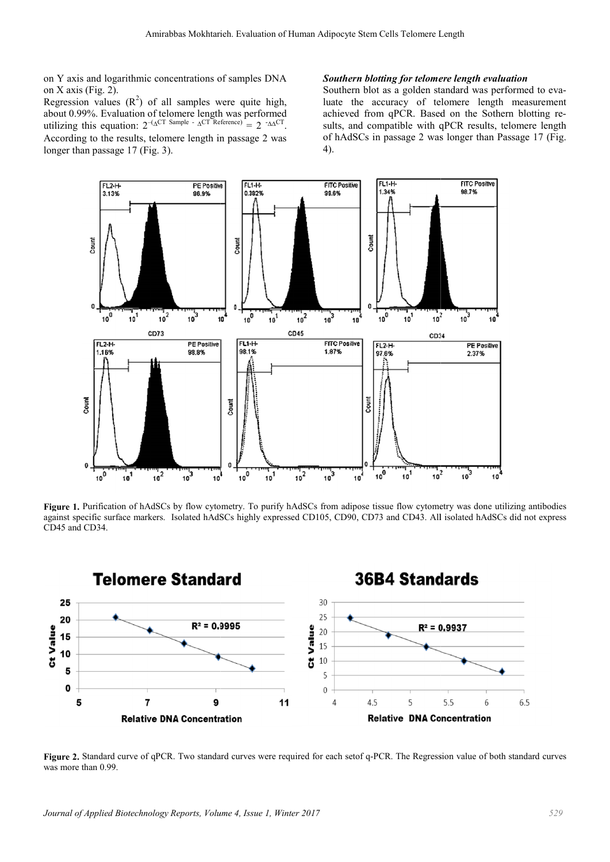on Y axis and logarithmic concentrations of samples DNA on X axis (Fig. 2).

Regression values  $(R^2)$  of all samples were quite high, about 0.99%. Evaluation of telomere length was performed utilizing this equation:  $2^{-(\Delta^{\text{CT}} \text{ Sample - }\Delta^{\text{CT}} \text{ Reference})} = 2^{-\Delta \Delta^{\text{CT}}}.$ According to the results, telomere length in passage 2 was longer than passage 17 (Fig. 3).

#### *Southern blotting for telomere length evaluation*

Southern blot as a golden standard was performed to evaluate the accuracy of telomere length measurement luate the accuracy of telomere length measurement<br>achieved from qPCR. Based on the Sothern blotting results, and compatible with qPCR results, telomere length of hAdSCs in passage 2 was longer than Passage 17 (Fig. 4).



Figure 1. Purification of hAdSCs by flow cytometry. To purify hAdSCs from adipose tissue flow cytometry was done utili against specific surface markers. Isolated hAdSCs highly expressed CD105, CD90, CD73 and CD43. All isolated hAdSCs did not express CD45 and CD34.



Figure 2. Standard curve of qPCR. Two standard curves were required for each setof q-PCR. The Regression value of both standard curves was more than 0.99.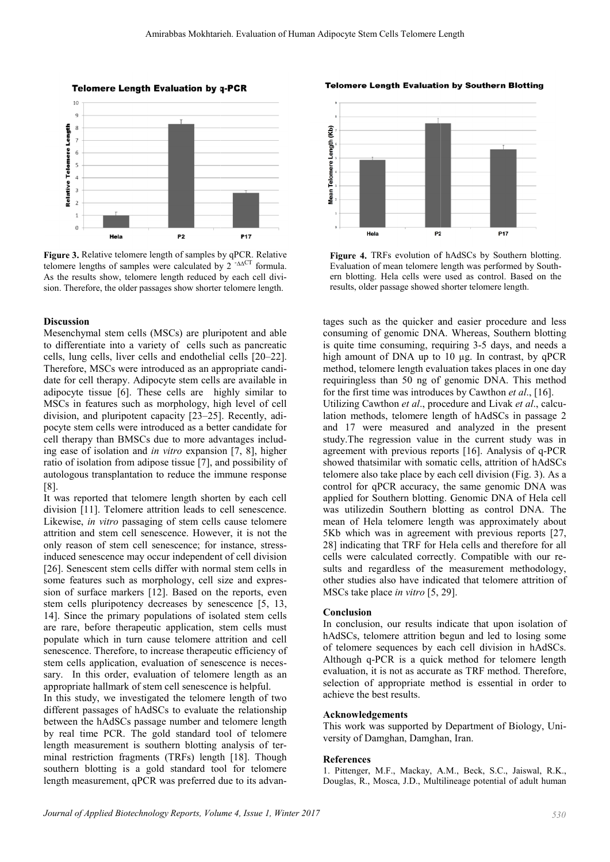**Telomere Length Evaluation by q-PCR** 



Figure 3. Relative telomere length of samples by qPCR. Relative telomere lengths of samples were calculated by  $2^{-AACT}$  formula. As the results show, telomere length reduced by each cell division. Therefore, the older passages show shorter telomere length.

#### Discussion

Mesenchymal stem cells (MSCs) are pluripotent and able to differentiate into a variety of cells such as pancreatic cells, lung cells, liver cells and endothelial cells [20–22]. Therefore, MSCs were introduced as an appropriate candidate for cell therapy. Adipocyte stem cells are available in adipocyte tissue [6]. These cells are highly similar to MSCs in features such as morphology, high level of cell division, and pluripotent capacity [23–25] 25]. Recently, adipocyte stem cells were introduced as a better candidate for cell therapy than BMSCs due to more advantages including ease of isolation and *in vitro* expansion [7, 8], higher ratio of isolation from adipose tissue [7], and possibility of autologous transplantation to reduce the immune response [8].

It was reported that telomere length shorten by each cell division [11]. Telomere attrition leads to cell senescence. Likewise, *in vitro* passaging of stem cells cause telomere attrition and stem cell senescence. However, it is not the only reason of stem cell senescence; for instance induced senescence may occur independent of cell division [26]. Senescent stem cells differ with normal stem cells in some features such as morphology, cell size and expression of surface markers [12]. Based on the reports, even stem cells pluripotency decreases by senescence [5, 13, 14]. Since the primary populations of isolated stem cells are rare, before therapeutic application, stem cells must populate which in turn cause telomere attrition and cell senescence. Therefore, to increase therapeutic efficiency of stem cells application, evaluation of senescence is necessary. In this order, evaluation of telomere length as an appropriate hallmark of stem cell senescence is helpful. sary. In this order, evaluation of telomere length as an appropriate hallmark of stem cell senescence is helpful.<br>In this study, we investigated the telomere length of two<br>different passages of hAdSCs to evaluate the relat eported that telomere length shorten by each cell [11]. Telomere attrition leads to cell senescence.<br>e, *in vitro* passaging of stem cells cause telomere and stem cell senescence. However, it is not the soon of stem cell s

In this study, we investigated the telomere length of two between the hAdSCs passage number and telomere length by real time PCR. The gold standard tool of telomere length measurement is southern blotting analysis of terminal restriction fragments (TRFs) length [18]. Though southern blotting is a gold standard tool for telomere length measurement, qPCR was preferred due to its advan-

**Telomere Length Evaluation by Southern Blotting** 



Figure 4. TRFs evolution of hAdSCs by Southern blotting. Evaluation of mean telomere length was performed by ern blotting. Hela cells were used as control. Based on the results, older passage showed shorter telomere length.

tages such as the quicker and easier procedure and less consuming of genomic DNA. Whereas, Southern blotting is quite time consuming, requiring 3-5 days, and needs a high amount of DNA up to 10 µg. In contrast, by qPCR method, telomere length evaluation takes places in one day requiringless than 50 ng of genomic DNA. This method for the first time was introduces by Cawthon *et al.*, [16]. Utilizing Cawthon et al., procedure and Livak et al., calculation methods, telomere length of hAdSCs in passage 2 and 17 were measured and analyzed 17 measured in the present study. The regression value in the current study was in agreement with previous reports [16]. Analysis of q-PCR showed thatsimilar with somatic cells, attrition of hAdSCs telomere also take place by each cell division (Fig. 3). As a control for qPCR accuracy, the same genomic DNA was applied for Southern blotting. Genomic DNA of Hela cell was utilizedin Southern blotting as control DNA. The mean of Hela telomere length was approximately about 5Kb which was in agreement with previous reports [27, 28] indicating that TRF for Hela cells and therefore for all cells were calculated correctly. Compatible with our results and regardless of the measurement methodology, other studies also have indicated that telomere attrition of MSCs take place *in vitro*  $[5, 29]$ . MSCs take place *in vitro* [5, applied for Southern blotting. Genomic DNA of Hela<br>was utilizedin Southern blotting as control DNA.<br>mean of Hela telomere length was approximately al Evaluation of mean telomere length was performed by South-<br>creating but the search was beformed by South-<br>results, older passage showed shorter telomere length.<br>
rages such as the quicker and easier procedure and les<br>
con

#### Conclusion

In conclusion, our results indicate that upon isolation of hAdSCs, telomere attrition begun and led to losing some of telomere sequences by each cell division in hAdSCs. Although q-PCR is a quick method for telomere length evaluation, it is not as accurate as TRF method. Therefore, selection of appropriate method is essential in order to achieve the best results. telomere sequences by each cell division in hAdSCs.<br>hough q-PCR is a quick method for telomere length<br>luation, it is not as accurate as TRF method. Therefore,<br>ection of appropriate method is essential in order to

#### Acknowledgements

This work was supported by Department of Biology, University of Damghan, Damghan Damghan, Iran.

#### References

1. Pittenger, M.F., Mackay, A.M., Beck, S.C., Jaiswal, R.K., Douglas, R., Mosca, J.D., Multilineage potential of adult human